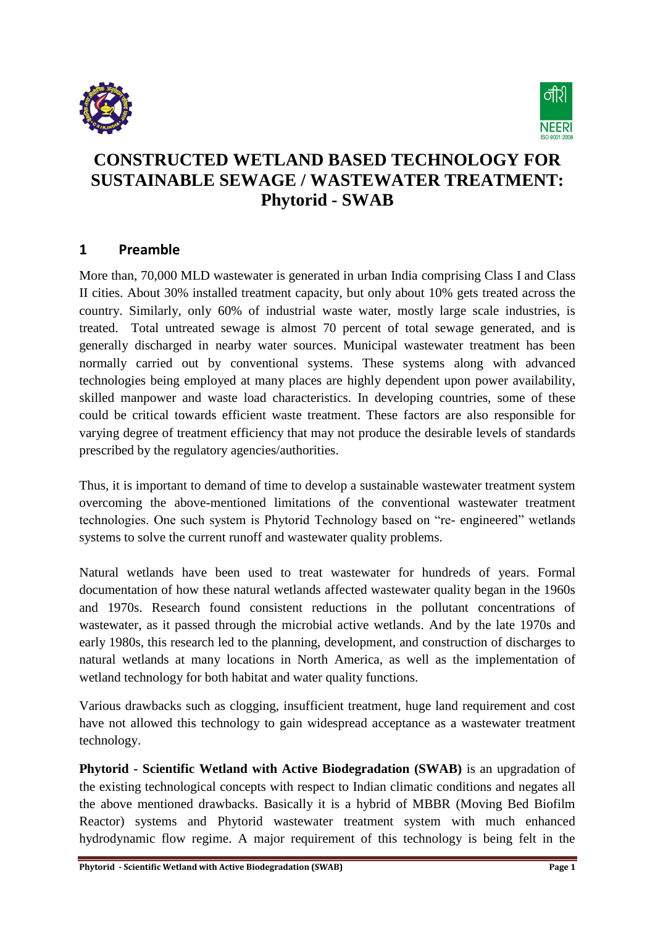



# **CONSTRUCTED WETLAND BASED TECHNOLOGY FOR SUSTAINABLE SEWAGE / WASTEWATER TREATMENT: Phytorid - SWAB**

### **1 Preamble**

More than, 70,000 MLD wastewater is generated in urban India comprising Class I and Class II cities. About 30% installed treatment capacity, but only about 10% gets treated across the country. Similarly, only 60% of industrial waste water, mostly large scale industries, is treated. Total untreated sewage is almost 70 percent of total sewage generated, and is generally discharged in nearby water sources. Municipal wastewater treatment has been normally carried out by conventional systems. These systems along with advanced technologies being employed at many places are highly dependent upon power availability, skilled manpower and waste load characteristics. In developing countries, some of these could be critical towards efficient waste treatment. These factors are also responsible for varying degree of treatment efficiency that may not produce the desirable levels of standards prescribed by the regulatory agencies/authorities.

Thus, it is important to demand of time to develop a sustainable wastewater treatment system overcoming the above-mentioned limitations of the conventional wastewater treatment technologies. One such system is Phytorid Technology based on "re- engineered" wetlands systems to solve the current runoff and wastewater quality problems.

Natural wetlands have been used to treat wastewater for hundreds of years. Formal documentation of how these natural wetlands affected wastewater quality began in the 1960s and 1970s. Research found consistent reductions in the pollutant concentrations of wastewater, as it passed through the microbial active wetlands. And by the late 1970s and early 1980s, this research led to the planning, development, and construction of discharges to natural wetlands at many locations in North America, as well as the implementation of wetland technology for both habitat and water quality functions.

Various drawbacks such as clogging, insufficient treatment, huge land requirement and cost have not allowed this technology to gain widespread acceptance as a wastewater treatment technology.

**Phytorid - Scientific Wetland with Active Biodegradation (SWAB)** is an upgradation of the existing technological concepts with respect to Indian climatic conditions and negates all the above mentioned drawbacks. Basically it is a hybrid of MBBR (Moving Bed Biofilm Reactor) systems and Phytorid wastewater treatment system with much enhanced hydrodynamic flow regime. A major requirement of this technology is being felt in the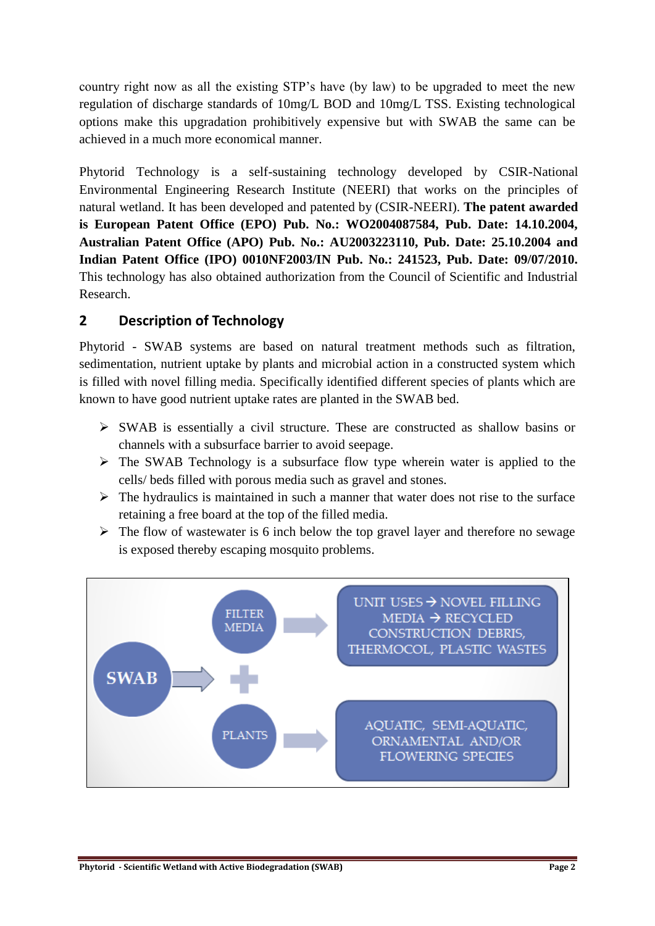country right now as all the existing STP's have (by law) to be upgraded to meet the new regulation of discharge standards of 10mg/L BOD and 10mg/L TSS. Existing technological options make this upgradation prohibitively expensive but with SWAB the same can be achieved in a much more economical manner.

Phytorid Technology is a self-sustaining technology developed by CSIR-National Environmental Engineering Research Institute (NEERI) that works on the principles of natural wetland. It has been developed and patented by (CSIR-NEERI). **The patent awarded is European Patent Office (EPO) Pub. No.: WO2004087584, Pub. Date: 14.10.2004, Australian Patent Office (APO) Pub. No.: AU2003223110, Pub. Date: 25.10.2004 and Indian Patent Office (IPO) 0010NF2003/IN Pub. No.: 241523, Pub. Date: 09/07/2010.** This technology has also obtained authorization from the Council of Scientific and Industrial Research.

### **2 Description of Technology**

Phytorid - SWAB systems are based on natural treatment methods such as filtration, sedimentation, nutrient uptake by plants and microbial action in a constructed system which is filled with novel filling media. Specifically identified different species of plants which are known to have good nutrient uptake rates are planted in the SWAB bed.

- $\triangleright$  SWAB is essentially a civil structure. These are constructed as shallow basins or channels with a subsurface barrier to avoid seepage.
- $\triangleright$  The SWAB Technology is a subsurface flow type wherein water is applied to the cells/ beds filled with porous media such as gravel and stones.
- $\triangleright$  The hydraulics is maintained in such a manner that water does not rise to the surface retaining a free board at the top of the filled media.
- $\triangleright$  The flow of wastewater is 6 inch below the top gravel layer and therefore no sewage is exposed thereby escaping mosquito problems.

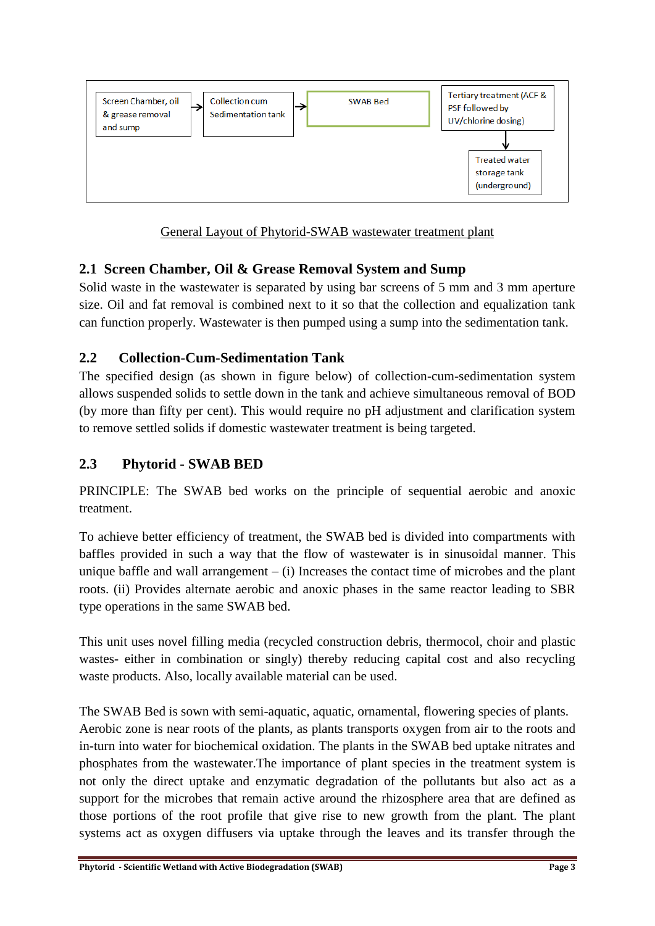

General Layout of Phytorid-SWAB wastewater treatment plant

## **2.1 Screen Chamber, Oil & Grease Removal System and Sump**

Solid waste in the wastewater is separated by using bar screens of 5 mm and 3 mm aperture size. Oil and fat removal is combined next to it so that the collection and equalization tank can function properly. Wastewater is then pumped using a sump into the sedimentation tank.

## **2.2 Collection-Cum-Sedimentation Tank**

The specified design (as shown in figure below) of collection-cum-sedimentation system allows suspended solids to settle down in the tank and achieve simultaneous removal of BOD (by more than fifty per cent). This would require no pH adjustment and clarification system to remove settled solids if domestic wastewater treatment is being targeted.

## **2.3 Phytorid - SWAB BED**

PRINCIPLE: The SWAB bed works on the principle of sequential aerobic and anoxic treatment.

To achieve better efficiency of treatment, the SWAB bed is divided into compartments with baffles provided in such a way that the flow of wastewater is in sinusoidal manner. This unique baffle and wall arrangement  $-$  (i) Increases the contact time of microbes and the plant roots. (ii) Provides alternate aerobic and anoxic phases in the same reactor leading to SBR type operations in the same SWAB bed.

This unit uses novel filling media (recycled construction debris, thermocol, choir and plastic wastes- either in combination or singly) thereby reducing capital cost and also recycling waste products. Also, locally available material can be used.

The SWAB Bed is sown with semi-aquatic, aquatic, ornamental, flowering species of plants. Aerobic zone is near roots of the plants, as plants transports oxygen from air to the roots and in-turn into water for biochemical oxidation. The plants in the SWAB bed uptake nitrates and phosphates from the wastewater.The importance of plant species in the treatment system is not only the direct uptake and enzymatic degradation of the pollutants but also act as a support for the microbes that remain active around the rhizosphere area that are defined as those portions of the root profile that give rise to new growth from the plant. The plant systems act as oxygen diffusers via uptake through the leaves and its transfer through the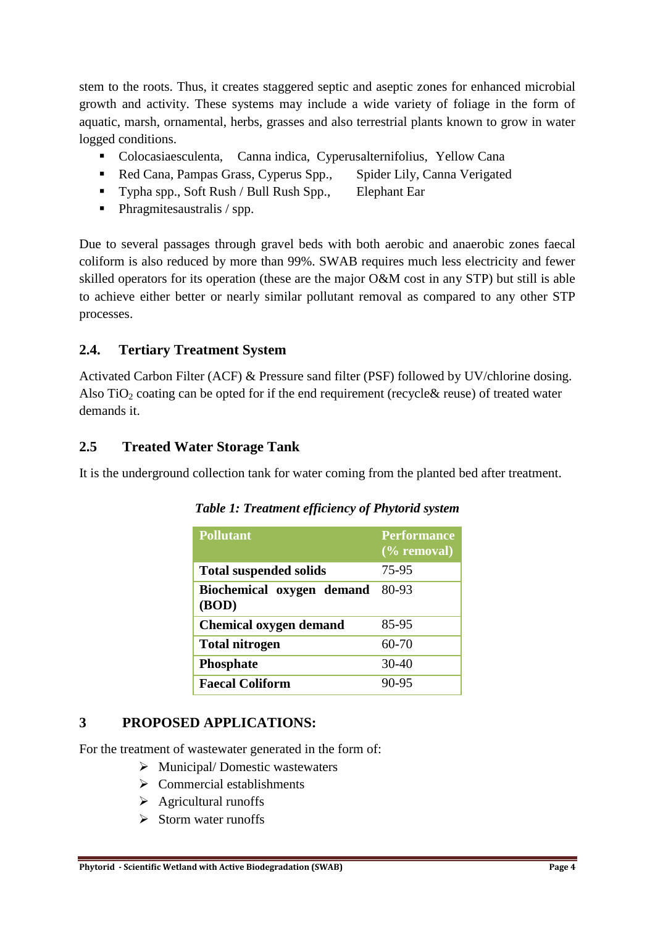stem to the roots. Thus, it creates staggered septic and aseptic zones for enhanced microbial growth and activity. These systems may include a wide variety of foliage in the form of aquatic, marsh, ornamental, herbs, grasses and also terrestrial plants known to grow in water logged conditions.

- Colocasiaesculenta, Canna indica, Cyperusalternifolius, Yellow Cana
- Red Cana, Pampas Grass, Cyperus Spp., Spider Lily, Canna Verigated
- Typha spp., Soft Rush / Bull Rush Spp., Elephant Ear
- Phragmitesaustralis / spp.

Due to several passages through gravel beds with both aerobic and anaerobic zones faecal coliform is also reduced by more than 99%. SWAB requires much less electricity and fewer skilled operators for its operation (these are the major O&M cost in any STP) but still is able to achieve either better or nearly similar pollutant removal as compared to any other STP processes.

### **2.4. Tertiary Treatment System**

Activated Carbon Filter (ACF) & Pressure sand filter (PSF) followed by UV/chlorine dosing. Also  $TiO<sub>2</sub>$  coating can be opted for if the end requirement (recycle & reuse) of treated water demands it.

### **2.5 Treated Water Storage Tank**

It is the underground collection tank for water coming from the planted bed after treatment.

| <b>Pollutant</b>                   | <b>Performance</b><br>$(\%$ removal) |
|------------------------------------|--------------------------------------|
| <b>Total suspended solids</b>      | 75-95                                |
| Biochemical oxygen demand<br>(BOD) | 80-93                                |
| <b>Chemical oxygen demand</b>      | 85-95                                |
| <b>Total nitrogen</b>              | 60-70                                |
| <b>Phosphate</b>                   | $30-40$                              |
| <b>Faecal Coliform</b>             | 90-95                                |

*Table 1: Treatment efficiency of Phytorid system*

#### **3 PROPOSED APPLICATIONS:**

For the treatment of wastewater generated in the form of:

- $\triangleright$  Municipal/Domestic wastewaters
- $\triangleright$  Commercial establishments
- $\triangleright$  Agricultural runoffs
- $\triangleright$  Storm water runoffs